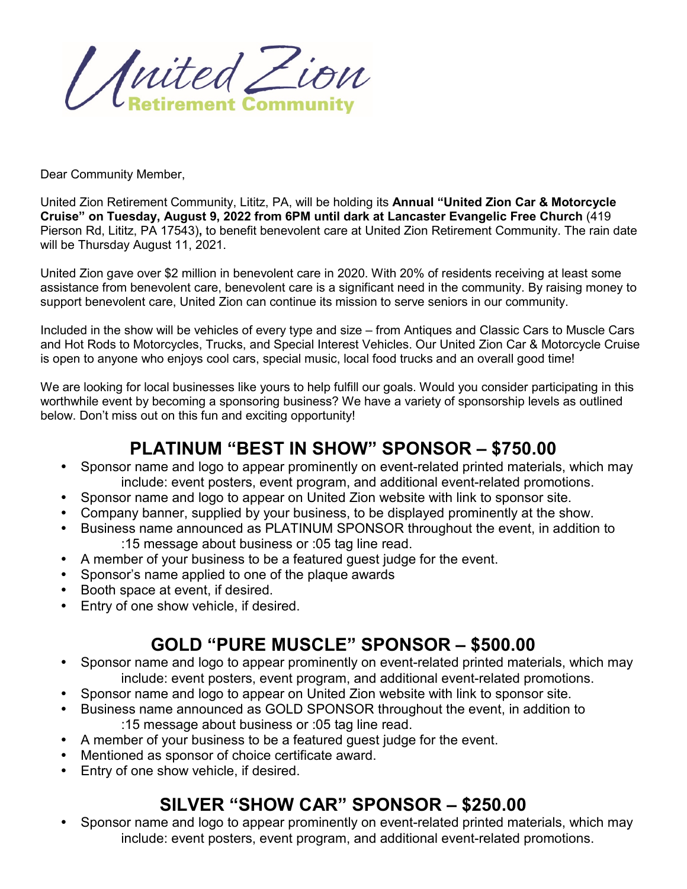United Zion **etirement Community** 

Dear Community Member,

United Zion Retirement Community, Lititz, PA, will be holding its **Annual "United Zion Car & Motorcycle Cruise" on Tuesday, August 9, 2022 from 6PM until dark at Lancaster Evangelic Free Church** (419 Pierson Rd, Lititz, PA 17543)**,** to benefit benevolent care at United Zion Retirement Community. The rain date will be Thursday August 11, 2021.

United Zion gave over \$2 million in benevolent care in 2020. With 20% of residents receiving at least some assistance from benevolent care, benevolent care is a significant need in the community. By raising money to support benevolent care, United Zion can continue its mission to serve seniors in our community.

Included in the show will be vehicles of every type and size – from Antiques and Classic Cars to Muscle Cars and Hot Rods to Motorcycles, Trucks, and Special Interest Vehicles. Our United Zion Car & Motorcycle Cruise is open to anyone who enjoys cool cars, special music, local food trucks and an overall good time!

We are looking for local businesses like yours to help fulfill our goals. Would you consider participating in this worthwhile event by becoming a sponsoring business? We have a variety of sponsorship levels as outlined below. Don't miss out on this fun and exciting opportunity!

### **PLATINUM "BEST IN SHOW" SPONSOR – \$750.00**

- Sponsor name and logo to appear prominently on event-related printed materials, which may include: event posters, event program, and additional event-related promotions.
- Sponsor name and logo to appear on United Zion website with link to sponsor site.
- Company banner, supplied by your business, to be displayed prominently at the show.
- Business name announced as PLATINUM SPONSOR throughout the event, in addition to :15 message about business or :05 tag line read.
- A member of your business to be a featured guest judge for the event.
- Sponsor's name applied to one of the plaque awards
- Booth space at event, if desired.
- Entry of one show vehicle, if desired.

## **GOLD "PURE MUSCLE" SPONSOR – \$500.00**

- Sponsor name and logo to appear prominently on event-related printed materials, which may include: event posters, event program, and additional event-related promotions.
- Sponsor name and logo to appear on United Zion website with link to sponsor site.
- Business name announced as GOLD SPONSOR throughout the event, in addition to :15 message about business or :05 tag line read.
- A member of your business to be a featured guest judge for the event.
- Mentioned as sponsor of choice certificate award.
- Entry of one show vehicle, if desired.

## **SILVER "SHOW CAR" SPONSOR – \$250.00**

• Sponsor name and logo to appear prominently on event-related printed materials, which may include: event posters, event program, and additional event-related promotions.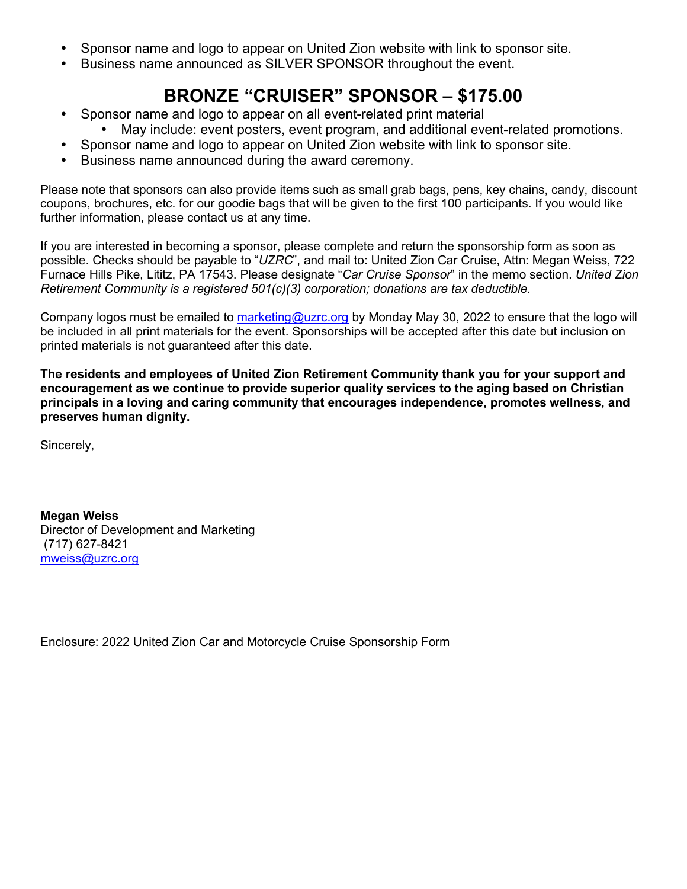- Sponsor name and logo to appear on United Zion website with link to sponsor site.
- Business name announced as SILVER SPONSOR throughout the event.

# **BRONZE "CRUISER" SPONSOR – \$175.00**

- Sponsor name and logo to appear on all event-related print material
	- May include: event posters, event program, and additional event-related promotions.
- Sponsor name and logo to appear on United Zion website with link to sponsor site.
- Business name announced during the award ceremony.

Please note that sponsors can also provide items such as small grab bags, pens, key chains, candy, discount coupons, brochures, etc. for our goodie bags that will be given to the first 100 participants. If you would like further information, please contact us at any time.

If you are interested in becoming a sponsor, please complete and return the sponsorship form as soon as possible. Checks should be payable to "*UZRC*", and mail to: United Zion Car Cruise, Attn: Megan Weiss, 722 Furnace Hills Pike, Lititz, PA 17543. Please designate "*Car Cruise Sponsor*" in the memo section. *United Zion Retirement Community is a registered 501(c)(3) corporation; donations are tax deductible*.

Company logos must be emailed to [marketing@uzrc.org](mailto:marketing@uzrc.org) by Monday May 30, 2022 to ensure that the logo will be included in all print materials for the event. Sponsorships will be accepted after this date but inclusion on printed materials is not guaranteed after this date.

**The residents and employees of United Zion Retirement Community thank you for your support and encouragement as we continue to provide superior quality services to the aging based on Christian principals in a loving and caring community that encourages independence, promotes wellness, and preserves human dignity.** 

Sincerely,

**Megan Weiss** Director of Development and Marketing (717) 627-8421 [mweiss@uzrc.org](mailto:mweiss@uzrc.org) 

Enclosure: 2022 United Zion Car and Motorcycle Cruise Sponsorship Form